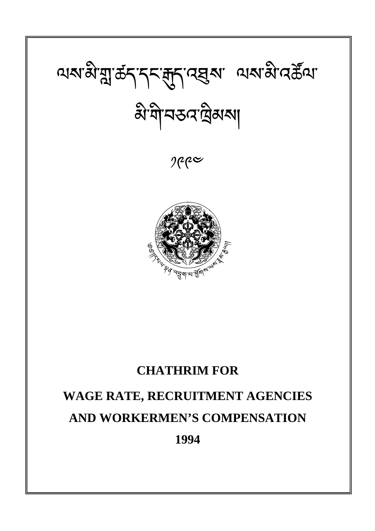# থম'মী'মু'ৰ্ক্ৰ্ব্'ব্দ্ৰ্ব্য'ৰ্ছ্মৰু' থেম'মী'ৰ্ম্ভিণ্য' बे गोमउन प्रैयरु

 $e^{\alpha}$ 



### **CHATHRIM FOR**

## **WAGE RATE, RECRUITMENT AGENCIES AND WORKERMEN'S COMPENSATION 1994**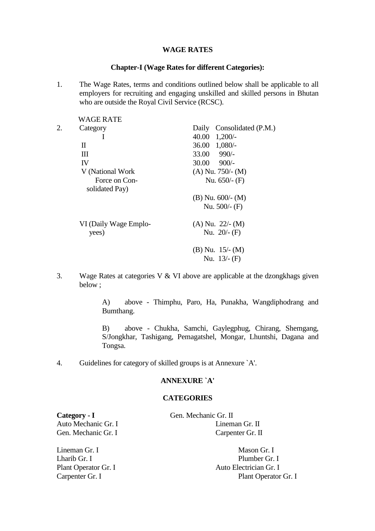#### **WAGE RATES**

#### **Chapter-I (Wage Rates for different Categories):**

1. The Wage Rates, terms and conditions outlined below shall be applicable to all employers for recruiting and engaging unskilled and skilled persons in Bhutan who are outside the Royal Civil Service (RCSC).

|    | WAGE RATE             |                              |
|----|-----------------------|------------------------------|
| 2. | Category              | Consolidated (P.M.)<br>Daily |
|    | L                     | 40.00<br>$1,200/-$           |
|    | Π                     | $36.00 \quad 1,080/$         |
|    | Ш                     | $33.00$ 990/-                |
|    | IV                    | $30.00$ 900/-                |
|    | V (National Work)     | $(A)$ Nu. 750/- $(M)$        |
|    | Force on Con-         | Nu. $650/-$ (F)              |
|    | solidated Pay)        |                              |
|    |                       | $(B)$ Nu. 600/- $(M)$        |
|    |                       | Nu. $500/-$ (F)              |
|    | VI (Daily Wage Emplo- | $(A)$ Nu. 22/- $(M)$         |
|    | yees)                 | Nu. $20/-$ (F)               |
|    |                       | (B) Nu. $15/- (M)$           |
|    |                       | Nu. $13/-$ (F)               |
|    |                       |                              |

3. Wage Rates at categories V & VI above are applicable at the dzongkhags given below ;

> A) above - Thimphu, Paro, Ha, Punakha, Wangdiphodrang and Bumthang.

> B) above - Chukha, Samchi, Gaylegphug, Chirang, Shemgang, S/Jongkhar, Tashigang, Pemagatshel, Mongar, Lhuntshi, Dagana and Tongsa.

4. Guidelines for category of skilled groups is at Annexure `A'.

#### **ANNEXURE `A'**

#### **CATEGORIES**

Category - I Gen. Mechanic Gr. II

Auto Mechanic Gr. I Lineman Gr. II Gen. Mechanic Gr. I Carpenter Gr. II

Lineman Gr. I Mason Gr. I

Lharib Gr. I Plumber Gr. I Plant Operator Gr. I Auto Electrician Gr. I Carpenter Gr. I Plant Operator Gr. I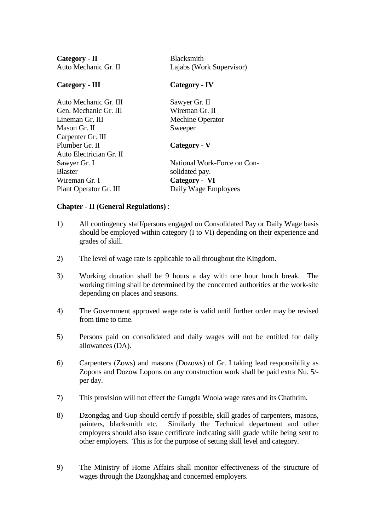| <b>Blacksmith</b><br>Lajabs (Work Supervisor) |  |
|-----------------------------------------------|--|
| Category - IV                                 |  |
| Sawyer Gr. II                                 |  |
| Wireman Gr. II                                |  |
| <b>Mechine Operator</b>                       |  |
| Sweeper                                       |  |
|                                               |  |
| Category - V                                  |  |
|                                               |  |
| National Work-Force on Con-                   |  |
| solidated pay.                                |  |
| Category - VI                                 |  |
| Daily Wage Employees                          |  |
|                                               |  |

#### **Chapter - II (General Regulations)** :

- 1) All contingency staff/persons engaged on Consolidated Pay or Daily Wage basis should be employed within category (I to VI) depending on their experience and grades of skill.
- 2) The level of wage rate is applicable to all throughout the Kingdom.
- 3) Working duration shall be 9 hours a day with one hour lunch break. The working timing shall be determined by the concerned authorities at the work-site depending on places and seasons.
- 4) The Government approved wage rate is valid until further order may be revised from time to time.
- 5) Persons paid on consolidated and daily wages will not be entitled for daily allowances (DA).
- 6) Carpenters (Zows) and masons (Dozows) of Gr. I taking lead responsibility as Zopons and Dozow Lopons on any construction work shall be paid extra Nu. 5/ per day.
- 7) This provision will not effect the Gungda Woola wage rates and its Chathrim.
- 8) Dzongdag and Gup should certify if possible, skill grades of carpenters, masons, painters, blacksmith etc. Similarly the Technical department and other employers should also issue certificate indicating skill grade while being sent to other employers. This is for the purpose of setting skill level and category.
- 9) The Ministry of Home Affairs shall monitor effectiveness of the structure of wages through the Dzongkhag and concerned employers.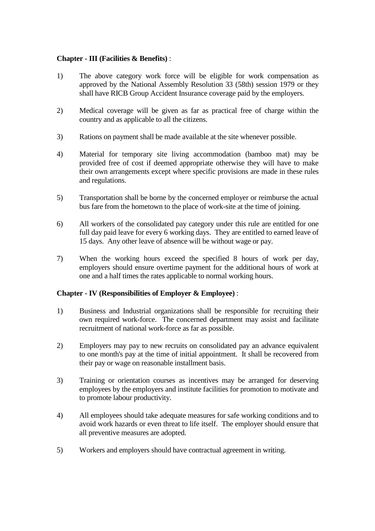#### **Chapter - III (Facilities & Benefits)** :

- 1) The above category work force will be eligible for work compensation as approved by the National Assembly Resolution 33 (58th) session 1979 or they shall have RICB Group Accident Insurance coverage paid by the employers.
- 2) Medical coverage will be given as far as practical free of charge within the country and as applicable to all the citizens.
- 3) Rations on payment shall be made available at the site whenever possible.
- 4) Material for temporary site living accommodation (bamboo mat) may be provided free of cost if deemed appropriate otherwise they will have to make their own arrangements except where specific provisions are made in these rules and regulations.
- 5) Transportation shall be borne by the concerned employer or reimburse the actual bus fare from the hometown to the place of work-site at the time of joining.
- 6) All workers of the consolidated pay category under this rule are entitled for one full day paid leave for every 6 working days. They are entitled to earned leave of 15 days. Any other leave of absence will be without wage or pay.
- 7) When the working hours exceed the specified 8 hours of work per day, employers should ensure overtime payment for the additional hours of work at one and a half times the rates applicable to normal working hours.

#### **Chapter - IV (Responsibilities of Employer & Employee)** :

- 1) Business and Industrial organizations shall be responsible for recruiting their own required work-force. The concerned department may assist and facilitate recruitment of national work-force as far as possible.
- 2) Employers may pay to new recruits on consolidated pay an advance equivalent to one month's pay at the time of initial appointment. It shall be recovered from their pay or wage on reasonable installment basis.
- 3) Training or orientation courses as incentives may be arranged for deserving employees by the employers and institute facilities for promotion to motivate and to promote labour productivity.
- 4) All employees should take adequate measures for safe working conditions and to avoid work hazards or even threat to life itself. The employer should ensure that all preventive measures are adopted.
- 5) Workers and employers should have contractual agreement in writing.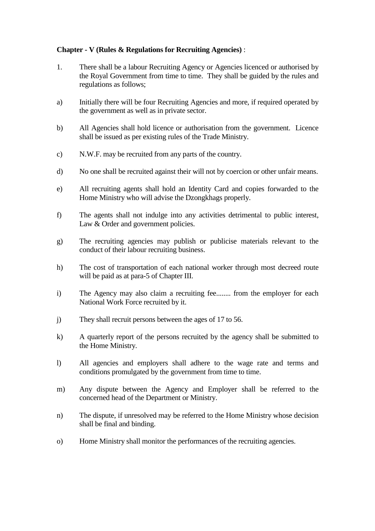#### **Chapter - V (Rules & Regulations for Recruiting Agencies)** :

- 1. There shall be a labour Recruiting Agency or Agencies licenced or authorised by the Royal Government from time to time. They shall be guided by the rules and regulations as follows;
- a) Initially there will be four Recruiting Agencies and more, if required operated by the government as well as in private sector.
- b) All Agencies shall hold licence or authorisation from the government. Licence shall be issued as per existing rules of the Trade Ministry.
- c) N.W.F. may be recruited from any parts of the country.
- d) No one shall be recruited against their will not by coercion or other unfair means.
- e) All recruiting agents shall hold an Identity Card and copies forwarded to the Home Ministry who will advise the Dzongkhags properly.
- f) The agents shall not indulge into any activities detrimental to public interest, Law & Order and government policies.
- g) The recruiting agencies may publish or publicise materials relevant to the conduct of their labour recruiting business.
- h) The cost of transportation of each national worker through most decreed route will be paid as at para-5 of Chapter III.
- i) The Agency may also claim a recruiting fee........ from the employer for each National Work Force recruited by it.
- j) They shall recruit persons between the ages of 17 to 56.
- k) A quarterly report of the persons recruited by the agency shall be submitted to the Home Ministry.
- l) All agencies and employers shall adhere to the wage rate and terms and conditions promulgated by the government from time to time.
- m) Any dispute between the Agency and Employer shall be referred to the concerned head of the Department or Ministry.
- n) The dispute, if unresolved may be referred to the Home Ministry whose decision shall be final and binding.
- o) Home Ministry shall monitor the performances of the recruiting agencies.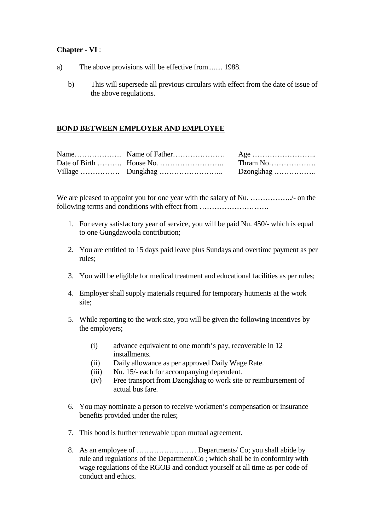#### **Chapter - VI** :

- a) The above provisions will be effective from........ 1988.
	- b) This will supersede all previous circulars with effect from the date of issue of the above regulations.

#### **BOND BETWEEN EMPLOYER AND EMPLOYEE**

We are pleased to appoint you for one year with the salary of Nu. …………………./- on the following terms and conditions with effect from .................................

- 1. For every satisfactory year of service, you will be paid Nu. 450/- which is equal to one Gungdawoola contribution;
- 2. You are entitled to 15 days paid leave plus Sundays and overtime payment as per rules;
- 3. You will be eligible for medical treatment and educational facilities as per rules;
- 4. Employer shall supply materials required for temporary hutments at the work site;
- 5. While reporting to the work site, you will be given the following incentives by the employers;
	- (i) advance equivalent to one month's pay, recoverable in 12 installments.
	- (ii) Daily allowance as per approved Daily Wage Rate.
	- (iii) Nu. 15/- each for accompanying dependent.
	- (iv) Free transport from Dzongkhag to work site or reimbursement of actual bus fare.
- 6. You may nominate a person to receive workmen's compensation or insurance benefits provided under the rules;
- 7. This bond is further renewable upon mutual agreement.
- 8. As an employee of …………………… Departments/ Co; you shall abide by rule and regulations of the Department/Co ; which shall be in conformity with wage regulations of the RGOB and conduct yourself at all time as per code of conduct and ethics.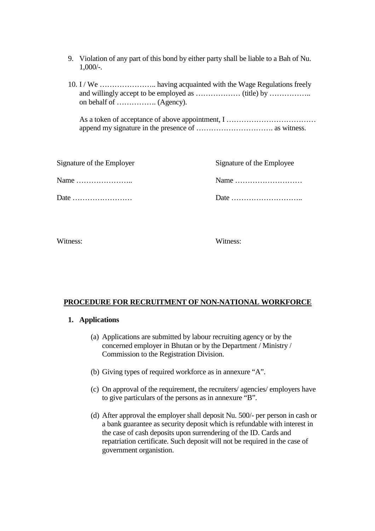- 9. Violation of any part of this bond by either party shall be liable to a Bah of Nu. 1,000/-.
- 10. I / We ………………….. having acquainted with the Wage Regulations freely and willingly accept to be employed as ……………… (title) by …………….. on behalf of ……………. (Agency).

As a token of acceptance of above appointment, I ……………………………… append my signature in the presence of …………………………. as witness.

| Signature of the Employer                       | Signature of the Employee                         |
|-------------------------------------------------|---------------------------------------------------|
| Name $\dots\dots\dots\dots\dots\dots\dots\dots$ |                                                   |
| Date $\ldots$ $\ldots$ $\ldots$                 | Date $\ldots$ $\ldots$ $\ldots$ $\ldots$ $\ldots$ |

Witness: Witness:

#### **PROCEDURE FOR RECRUITMENT OF NON-NATIONAL WORKFORCE**

#### **1. Applications**

- (a) Applications are submitted by labour recruiting agency or by the concerned employer in Bhutan or by the Department / Ministry / Commission to the Registration Division.
- (b) Giving types of required workforce as in annexure "A".
- (c) On approval of the requirement, the recruiters/ agencies/ employers have to give particulars of the persons as in annexure "B".
- (d) After approval the employer shall deposit Nu. 500/- per person in cash or a bank guarantee as security deposit which is refundable with interest in the case of cash deposits upon surrendering of the ID. Cards and repatriation certificate. Such deposit will not be required in the case of government organistion.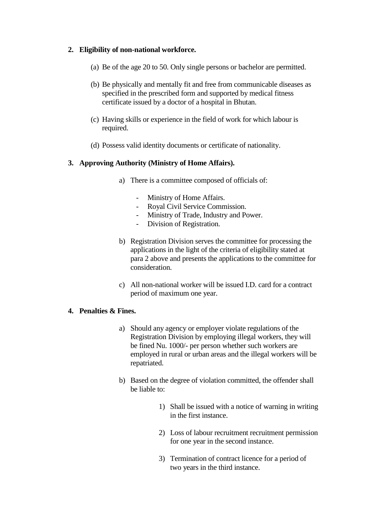#### **2. Eligibility of non-national workforce.**

- (a) Be of the age 20 to 50. Only single persons or bachelor are permitted.
- (b) Be physically and mentally fit and free from communicable diseases as specified in the prescribed form and supported by medical fitness certificate issued by a doctor of a hospital in Bhutan.
- (c) Having skills or experience in the field of work for which labour is required.
- (d) Possess valid identity documents or certificate of nationality.

#### **3. Approving Authority (Ministry of Home Affairs).**

- a) There is a committee composed of officials of:
	- Ministry of Home Affairs.
	- Royal Civil Service Commission.
	- Ministry of Trade, Industry and Power.
	- Division of Registration.
- b) Registration Division serves the committee for processing the applications in the light of the criteria of eligibility stated at para 2 above and presents the applications to the committee for consideration.
- c) All non-national worker will be issued I.D. card for a contract period of maximum one year.

#### **4. Penalties & Fines.**

- a) Should any agency or employer violate regulations of the Registration Division by employing illegal workers, they will be fined Nu. 1000/- per person whether such workers are employed in rural or urban areas and the illegal workers will be repatriated.
- b) Based on the degree of violation committed, the offender shall be liable to:
	- 1) Shall be issued with a notice of warning in writing in the first instance.
	- 2) Loss of labour recruitment recruitment permission for one year in the second instance.
	- 3) Termination of contract licence for a period of two years in the third instance.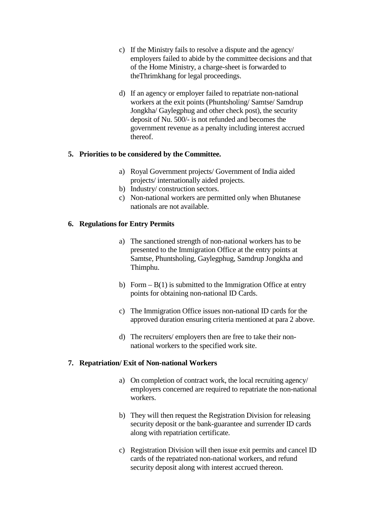- c) If the Ministry fails to resolve a dispute and the agency/ employers failed to abide by the committee decisions and that of the Home Ministry, a charge-sheet is forwarded to theThrimkhang for legal proceedings.
- d) If an agency or employer failed to repatriate non-national workers at the exit points (Phuntsholing/ Samtse/ Samdrup Jongkha/ Gaylegphug and other check post), the security deposit of Nu. 500/- is not refunded and becomes the government revenue as a penalty including interest accrued thereof.

#### **5. Priorities to be considered by the Committee.**

- a) Royal Government projects/ Government of India aided projects/ internationally aided projects.
- b) Industry/ construction sectors.
- c) Non-national workers are permitted only when Bhutanese nationals are not available.

#### **6. Regulations for Entry Permits**

- a) The sanctioned strength of non-national workers has to be presented to the Immigration Office at the entry points at Samtse, Phuntsholing, Gaylegphug, Samdrup Jongkha and Thimphu.
- b) Form  $B(1)$  is submitted to the Immigration Office at entry points for obtaining non-national ID Cards.
- c) The Immigration Office issues non-national ID cards for the approved duration ensuring criteria mentioned at para 2 above.
- d) The recruiters/ employers then are free to take their nonnational workers to the specified work site.

#### **7. Repatriation/ Exit of Non-national Workers**

- a) On completion of contract work, the local recruiting agency/ employers concerned are required to repatriate the non-national workers.
- b) They will then request the Registration Division for releasing security deposit or the bank-guarantee and surrender ID cards along with repatriation certificate.
- c) Registration Division will then issue exit permits and cancel ID cards of the repatriated non-national workers, and refund security deposit along with interest accrued thereon.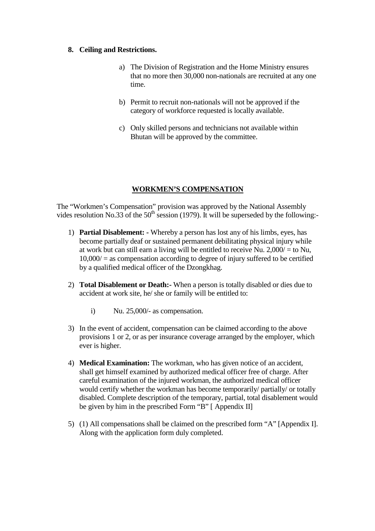#### **8. Ceiling and Restrictions.**

- a) The Division of Registration and the Home Ministry ensures that no more then 30,000 non-nationals are recruited at any one time.
- b) Permit to recruit non-nationals will not be approved if the category of workforce requested is locally available.
- c) Only skilled persons and technicians not available within Bhutan will be approved by the committee.

#### **WORKMEN'S COMPENSATION**

The "Workmen's Compensation" provision was approved by the National Assembly vides resolution No.33 of the  $50<sup>th</sup>$  session (1979). It will be superseded by the following:-

- 1) **Partial Disablement: -** Whereby a person has lost any of his limbs, eyes, has become partially deaf or sustained permanent debilitating physical injury while at work but can still earn a living will be entitled to receive Nu. 2,000/ = to Nu,  $10,000/$  = as compensation according to degree of injury suffered to be certified by a qualified medical officer of the Dzongkhag.
- 2) **Total Disablement or Death:-** When a person is totally disabled or dies due to accident at work site, he/ she or family will be entitled to:
	- i) Nu. 25,000/- as compensation.
- 3) In the event of accident, compensation can be claimed according to the above provisions 1 or 2, or as per insurance coverage arranged by the employer, which ever is higher.
- 4) **Medical Examination:** The workman, who has given notice of an accident, shall get himself examined by authorized medical officer free of charge. After careful examination of the injured workman, the authorized medical officer would certify whether the workman has become temporarily/ partially/ or totally disabled. Complete description of the temporary, partial, total disablement would be given by him in the prescribed Form "B" [ Appendix II]
- 5) (1) All compensations shall be claimed on the prescribed form "A" [Appendix I]. Along with the application form duly completed.